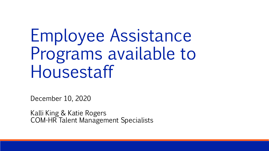# Employee Assistance Programs available to Housestaff

December 10, 2020

Kalli King & Katie Rogers COM-HR Talent Management Specialists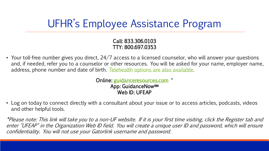## UFHR's Employee Assistance Program

#### Call: 833.306.0103 TTY: 800.697.0353

• Your toll-free number gives you direct, 24/7 access to a licensed counselor, who will answer your questions and, if needed, refer you to a counselor or other resources. You will be asked for your name, employer name, address, phone number and date of birth. [Telehealth options are also available](https://eap.ufl.edu/assets/docs/VideoAndOnlineCounselingOptions_UofFlorida.pdf).

> Online: [guidanceresources.com](https://guidanceresources.com/) \* App: GuidanceNow<sub>SM</sub> Web ID: UFEAP

• Log on today to connect directly with a consultant about your issue or to access articles, podcasts, videos and other helpful tools.

\*Please note: This link will take you to a non-UF website. If it is your first time visiting, click the Register tab and enter "UFEAP" in the Organization Web ID field. You will create a unique user ID and password, which will ensure confidentiality. You will not use your Gatorlink username and password.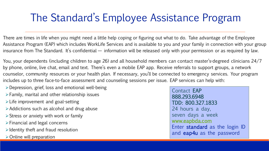### The Standard's Employee Assistance Program

There are times in life when you might need a little help coping or figuring out what to do. Take advantage of the Employee Assistance Program (EAP) which includes WorkLife Services and is available to you and your family in connection with your group insurance from The Standard. It's confidential — information will be released only with your permission or as required by law.

You, your dependents (including children to age 26) and all household members can contact master's-degreed clinicians 24/7 by phone, online, live chat, email and text. There's even a mobile EAP app. Receive referrals to support groups, a network counselor, community resources or your health plan. If necessary, you'll be connected to emergency services. Your program includes up to three face-to-face assessment and counseling sessions per issue. EAP services can help with:

- ➢Depression, grief, loss and emotional well-being
- $\triangleright$  Family, marital and other relationship issues
- $\triangleright$  Life improvement and goal-setting
- $\triangleright$  Addictions such as alcohol and drug abuse
- $\triangleright$  Stress or anxiety with work or family
- ➢Financial and legal concerns
- $\triangleright$  Identity theft and fraud resolution
- $\triangleright$  Online will preparation

Contact EAP 888.293.6948 TDD: 800.327.1833 24 hours a day, seven days a week [www.eapbda.com](http://www.eapbda.com/) Enter standard as the login ID and eap4u as the password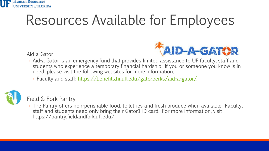

## Resources Available for Employees

Aid-a Gator



- Aid-a Gator is an emergency fund that provides limited assistance to UF faculty, staff and students who experience a temporary financial hardship. If you or someone you know is in need, please visit the following websites for more information:
	- Faculty and staff:<https://benefits.hr.ufl.edu/gatorperks/aid-a-gator/>



Field & Fork Pantry

◦ The Pantry offers non-perishable food, toiletries and fresh produce when available. Faculty, staff and students need only bring their Gator1 ID card. For more information, visit https://pantry.fieldandfork.ufl.edu/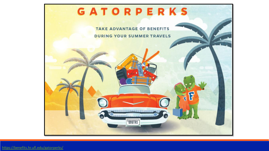

<https://benefits.hr.ufl.edu/gatorperks/>